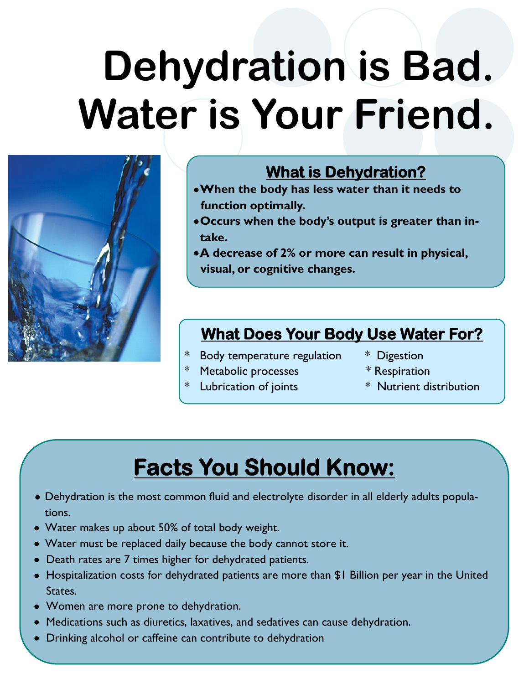# **Dehydration is Bad. Water is Your Friend.**



# **What is Dehydration?**

- **When the body has less water than it needs to function optimally.**
- **Occurs when the body's output is greater than intake.**
- **A decrease of 2% or more can result in physical, visual, or cognitive changes.**

# **What Does Your Body Use Water For?**

- \* Body temperature regulation \* Digestion
	-
- \* Metabolic processes \* Respiration
- \* Lubrication of joints \* Nutrient distribution
- -

# **Facts You Should Know:**

- Dehydration is the most common fluid and electrolyte disorder in all elderly adults populations.
- Water makes up about 50% of total body weight.
- Water must be replaced daily because the body cannot store it.
- Death rates are 7 times higher for dehydrated patients.
- Hospitalization costs for dehydrated patients are more than \$1 Billion per year in the United States.
- Women are more prone to dehydration.
- Medications such as diuretics, laxatives, and sedatives can cause dehydration.
- Drinking alcohol or caffeine can contribute to dehydration